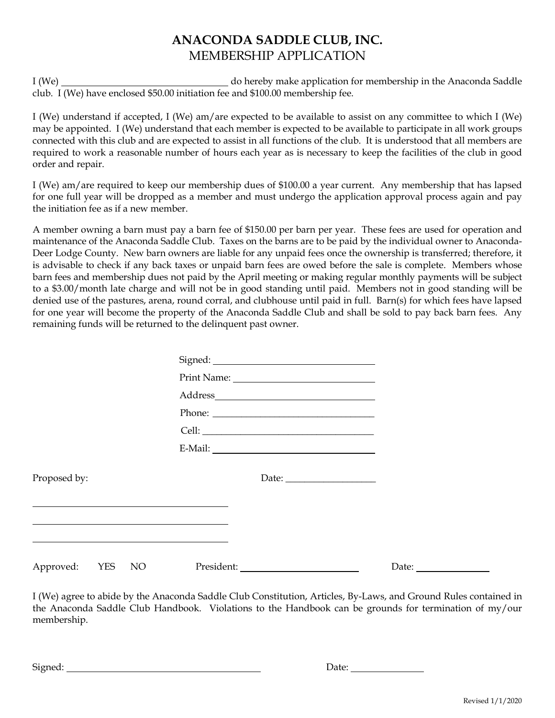## **ANACONDA SADDLE CLUB, INC.** MEMBERSHIP APPLICATION

I (We) do hereby make application for membership in the Anaconda Saddle club. I (We) have enclosed \$50.00 initiation fee and \$100.00 membership fee.

I (We) understand if accepted, I (We) am/are expected to be available to assist on any committee to which I (We) may be appointed. I (We) understand that each member is expected to be available to participate in all work groups connected with this club and are expected to assist in all functions of the club. It is understood that all members are required to work a reasonable number of hours each year as is necessary to keep the facilities of the club in good order and repair.

I (We) am/are required to keep our membership dues of \$100.00 a year current. Any membership that has lapsed for one full year will be dropped as a member and must undergo the application approval process again and pay the initiation fee as if a new member.

A member owning a barn must pay a barn fee of \$150.00 per barn per year. These fees are used for operation and maintenance of the Anaconda Saddle Club. Taxes on the barns are to be paid by the individual owner to Anaconda-Deer Lodge County. New barn owners are liable for any unpaid fees once the ownership is transferred; therefore, it is advisable to check if any back taxes or unpaid barn fees are owed before the sale is complete. Members whose barn fees and membership dues not paid by the April meeting or making regular monthly payments will be subject to a \$3.00/month late charge and will not be in good standing until paid. Members not in good standing will be denied use of the pastures, arena, round corral, and clubhouse until paid in full. Barn(s) for which fees have lapsed for one year will become the property of the Anaconda Saddle Club and shall be sold to pay back barn fees. Any remaining funds will be returned to the delinquent past owner.

|                                  | $\large \bf Address \underline{\hspace{1cm}} \underline{\hspace{1cm}}$ |                       |  |
|----------------------------------|------------------------------------------------------------------------|-----------------------|--|
|                                  |                                                                        |                       |  |
|                                  |                                                                        |                       |  |
|                                  | $E-Mail:$                                                              |                       |  |
| Proposed by:                     |                                                                        |                       |  |
|                                  |                                                                        |                       |  |
| Approved: YES<br>NO <sub>1</sub> |                                                                        | Date: $\qquad \qquad$ |  |

I (We) agree to abide by the Anaconda Saddle Club Constitution, Articles, By-Laws, and Ground Rules contained in the Anaconda Saddle Club Handbook. Violations to the Handbook can be grounds for termination of my/our membership.

Signed: <u>Date: Date: Date: Date: Date: Date: Date: Date: Date: Date: Date: Date: Date: Date: Date: Date: Date: Date: Date: Date: Date: Date: Date: Date: Date: Date: Date: Date: Date: Date: Date: Date: Date: Date: Date: Dat</u>